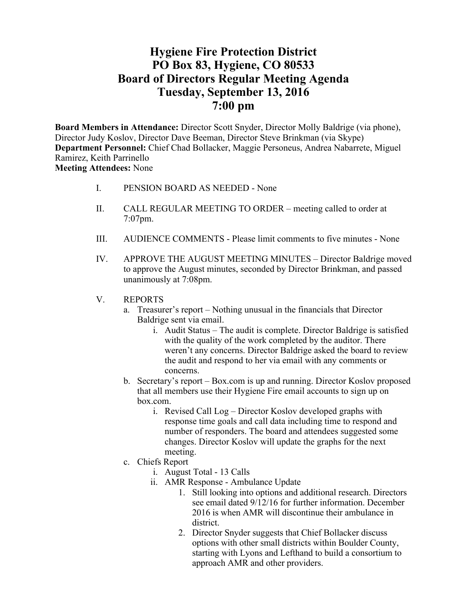# **Hygiene Fire Protection District PO Box 83, Hygiene, CO 80533 Board of Directors Regular Meeting Agenda Tuesday, September 13, 2016 7:00 pm**

**Board Members in Attendance:** Director Scott Snyder, Director Molly Baldrige (via phone), Director Judy Koslov, Director Dave Beeman, Director Steve Brinkman (via Skype) **Department Personnel:** Chief Chad Bollacker, Maggie Personeus, Andrea Nabarrete, Miguel Ramirez, Keith Parrinello **Meeting Attendees:** None

I. PENSION BOARD AS NEEDED - None

- II. CALL REGULAR MEETING TO ORDER meeting called to order at 7:07pm.
- III. AUDIENCE COMMENTS Please limit comments to five minutes None
- IV. APPROVE THE AUGUST MEETING MINUTES Director Baldrige moved to approve the August minutes, seconded by Director Brinkman, and passed unanimously at 7:08pm.
- V. REPORTS
	- a. Treasurer's report Nothing unusual in the financials that Director Baldrige sent via email.
		- i. Audit Status The audit is complete. Director Baldrige is satisfied with the quality of the work completed by the auditor. There weren't any concerns. Director Baldrige asked the board to review the audit and respond to her via email with any comments or concerns.
	- b. Secretary's report Box.com is up and running. Director Koslov proposed that all members use their Hygiene Fire email accounts to sign up on box.com.
		- i. Revised Call Log Director Koslov developed graphs with response time goals and call data including time to respond and number of responders. The board and attendees suggested some changes. Director Koslov will update the graphs for the next meeting.
	- c. Chiefs Report
		- i. August Total 13 Calls
		- ii. AMR Response Ambulance Update
			- 1. Still looking into options and additional research. Directors see email dated 9/12/16 for further information. December 2016 is when AMR will discontinue their ambulance in district.
			- 2. Director Snyder suggests that Chief Bollacker discuss options with other small districts within Boulder County, starting with Lyons and Lefthand to build a consortium to approach AMR and other providers.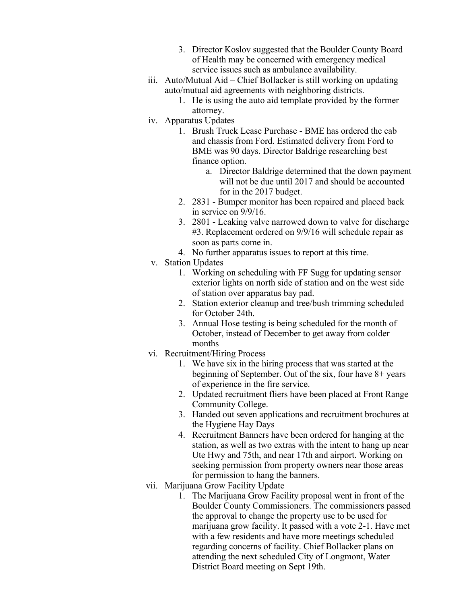- 3. Director Koslov suggested that the Boulder County Board of Health may be concerned with emergency medical service issues such as ambulance availability.
- iii. Auto/Mutual Aid Chief Bollacker is still working on updating auto/mutual aid agreements with neighboring districts.
	- 1. He is using the auto aid template provided by the former attorney.
- iv. Apparatus Updates
	- 1. Brush Truck Lease Purchase BME has ordered the cab and chassis from Ford. Estimated delivery from Ford to BME was 90 days. Director Baldrige researching best finance option.
		- a. Director Baldrige determined that the down payment will not be due until 2017 and should be accounted for in the 2017 budget.
	- 2. 2831 Bumper monitor has been repaired and placed back in service on 9/9/16.
	- 3. 2801 Leaking valve narrowed down to valve for discharge #3. Replacement ordered on 9/9/16 will schedule repair as soon as parts come in.
	- 4. No further apparatus issues to report at this time.
- v. Station Updates
	- 1. Working on scheduling with FF Sugg for updating sensor exterior lights on north side of station and on the west side of station over apparatus bay pad.
	- 2. Station exterior cleanup and tree/bush trimming scheduled for October 24th.
	- 3. Annual Hose testing is being scheduled for the month of October, instead of December to get away from colder months
- vi. Recruitment/Hiring Process
	- 1. We have six in the hiring process that was started at the beginning of September. Out of the six, four have 8+ years of experience in the fire service.
	- 2. Updated recruitment fliers have been placed at Front Range Community College.
	- 3. Handed out seven applications and recruitment brochures at the Hygiene Hay Days
	- 4. Recruitment Banners have been ordered for hanging at the station, as well as two extras with the intent to hang up near Ute Hwy and 75th, and near 17th and airport. Working on seeking permission from property owners near those areas for permission to hang the banners.
- vii. Marijuana Grow Facility Update
	- 1. The Marijuana Grow Facility proposal went in front of the Boulder County Commissioners. The commissioners passed the approval to change the property use to be used for marijuana grow facility. It passed with a vote 2-1. Have met with a few residents and have more meetings scheduled regarding concerns of facility. Chief Bollacker plans on attending the next scheduled City of Longmont, Water District Board meeting on Sept 19th.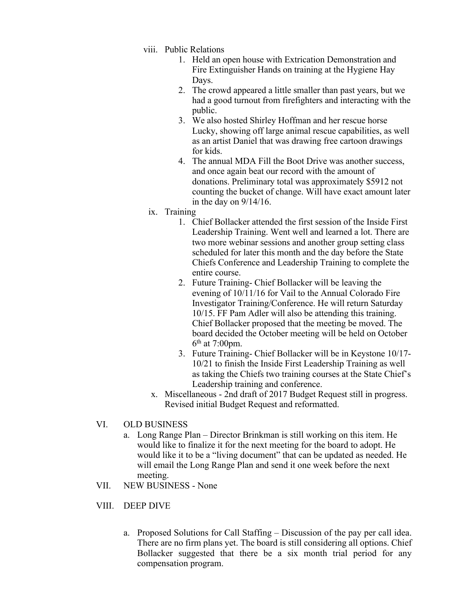- viii. Public Relations
	- 1. Held an open house with Extrication Demonstration and Fire Extinguisher Hands on training at the Hygiene Hay Days.
	- 2. The crowd appeared a little smaller than past years, but we had a good turnout from firefighters and interacting with the public.
	- 3. We also hosted Shirley Hoffman and her rescue horse Lucky, showing off large animal rescue capabilities, as well as an artist Daniel that was drawing free cartoon drawings for kids.
	- 4. The annual MDA Fill the Boot Drive was another success, and once again beat our record with the amount of donations. Preliminary total was approximately \$5912 not counting the bucket of change. Will have exact amount later in the day on  $9/14/16$ .
- ix. Training
	- 1. Chief Bollacker attended the first session of the Inside First Leadership Training. Went well and learned a lot. There are two more webinar sessions and another group setting class scheduled for later this month and the day before the State Chiefs Conference and Leadership Training to complete the entire course.
	- 2. Future Training- Chief Bollacker will be leaving the evening of 10/11/16 for Vail to the Annual Colorado Fire Investigator Training/Conference. He will return Saturday 10/15. FF Pam Adler will also be attending this training. Chief Bollacker proposed that the meeting be moved. The board decided the October meeting will be held on October  $6<sup>th</sup>$  at 7:00pm.
	- 3. Future Training- Chief Bollacker will be in Keystone 10/17- 10/21 to finish the Inside First Leadership Training as well as taking the Chiefs two training courses at the State Chief's Leadership training and conference.
	- x. Miscellaneous 2nd draft of 2017 Budget Request still in progress. Revised initial Budget Request and reformatted.

# VI. OLD BUSINESS

- a. Long Range Plan Director Brinkman is still working on this item. He would like to finalize it for the next meeting for the board to adopt. He would like it to be a "living document" that can be updated as needed. He will email the Long Range Plan and send it one week before the next meeting.
- VII. NEW BUSINESS None
- VIII. DEEP DIVE
	- a. Proposed Solutions for Call Staffing Discussion of the pay per call idea. There are no firm plans yet. The board is still considering all options. Chief Bollacker suggested that there be a six month trial period for any compensation program.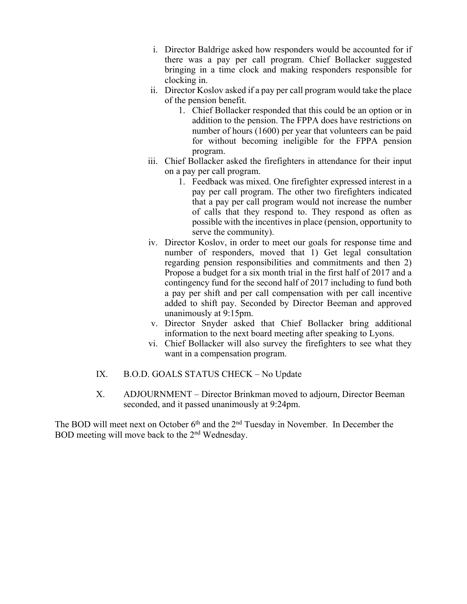- i. Director Baldrige asked how responders would be accounted for if there was a pay per call program. Chief Bollacker suggested bringing in a time clock and making responders responsible for clocking in.
- ii. Director Koslov asked if a pay per call program would take the place of the pension benefit.
	- 1. Chief Bollacker responded that this could be an option or in addition to the pension. The FPPA does have restrictions on number of hours (1600) per year that volunteers can be paid for without becoming ineligible for the FPPA pension program.
- iii. Chief Bollacker asked the firefighters in attendance for their input on a pay per call program.
	- 1. Feedback was mixed. One firefighter expressed interest in a pay per call program. The other two firefighters indicated that a pay per call program would not increase the number of calls that they respond to. They respond as often as possible with the incentives in place (pension, opportunity to serve the community).
- iv. Director Koslov, in order to meet our goals for response time and number of responders, moved that 1) Get legal consultation regarding pension responsibilities and commitments and then 2) Propose a budget for a six month trial in the first half of 2017 and a contingency fund for the second half of 2017 including to fund both a pay per shift and per call compensation with per call incentive added to shift pay. Seconded by Director Beeman and approved unanimously at 9:15pm.
- v. Director Snyder asked that Chief Bollacker bring additional information to the next board meeting after speaking to Lyons.
- vi. Chief Bollacker will also survey the firefighters to see what they want in a compensation program.
- IX. B.O.D. GOALS STATUS CHECK No Update
- X. ADJOURNMENT Director Brinkman moved to adjourn, Director Beeman seconded, and it passed unanimously at 9:24pm.

The BOD will meet next on October  $6<sup>th</sup>$  and the  $2<sup>nd</sup>$  Tuesday in November. In December the BOD meeting will move back to the 2<sup>nd</sup> Wednesday.